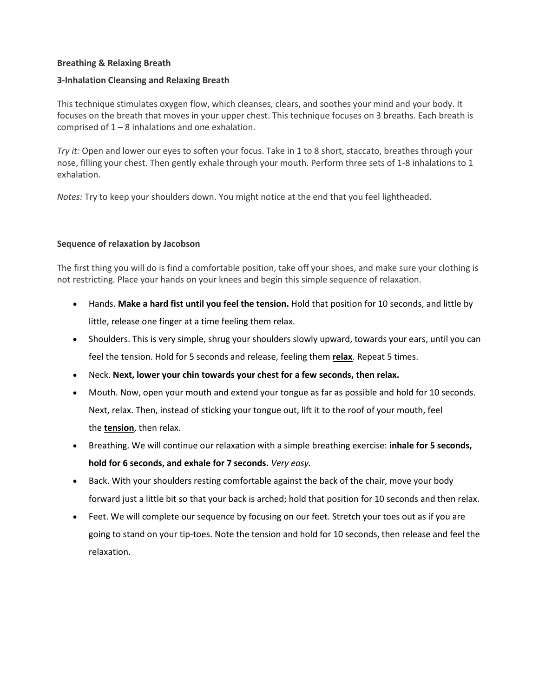## **Breathing & Relaxing Breath**

## **3-Inhalation Cleansing and Relaxing Breath**

This technique stimulates oxygen flow, which cleanses, clears, and soothes your mind and your body. It focuses on the breath that moves in your upper chest. This technique focuses on 3 breaths. Each breath is comprised of  $1 - 8$  inhalations and one exhalation.

*Try it:* Open and lower our eyes to soften your focus. Take in 1 to 8 short, staccato, breathes through your nose, filling your chest. Then gently exhale through your mouth. Perform three sets of 1-8 inhalations to 1 exhalation.

*Notes:* Try to keep your shoulders down. You might notice at the end that you feel lightheaded.

## **Sequence of relaxation by Jacobson**

The first thing you will do is find a comfortable position, take off your shoes, and make sure your clothing is not restricting. Place your hands on your knees and begin this simple sequence of relaxation.

- Hands. **Make a hard fist until you feel the tension.** Hold that position for 10 seconds, and little by little, release one finger at a time feeling them relax.
- Shoulders. This is very simple, shrug your shoulders slowly upward, towards your ears, until you can feel the tension. Hold for 5 seconds and release, feeling them **[relax](https://exploringyourmind.com/7-relaxation-exercises-finally-get-rid-anxiety/)**. Repeat 5 times.
- Neck. **Next, lower your chin towards your chest for a few seconds, then relax.**
- Mouth. Now, open your mouth and extend your tongue as far as possible and hold for 10 seconds. Next, relax. Then, instead of sticking your tongue out, lift it to the roof of your mouth, feel the **[tension](https://exploringyourmind.com/stress-becomes-pathological/)**, then relax.
- Breathing. We will continue our relaxation with a simple breathing exercise: **inhale for 5 seconds, hold for 6 seconds, and exhale for 7 seconds.** *Very easy.*
- Back. With your shoulders resting comfortable against the back of the chair, move your body forward just a little bit so that your back is arched; hold that position for 10 seconds and then relax.
- Feet. We will complete our sequence by focusing on our feet. Stretch your toes out as if you are going to stand on your tip-toes. Note the tension and hold for 10 seconds, then release and feel the relaxation.